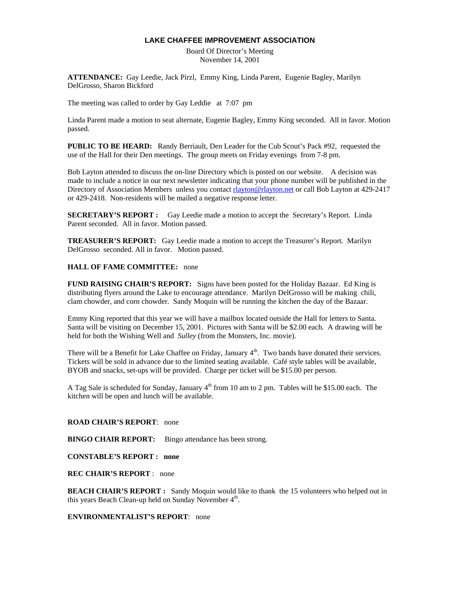## **LAKE CHAFFEE IMPROVEMENT ASSOCIATION**

Board Of Director's Meeting November 14, 2001

**ATTENDANCE:** Gay Leedie, Jack Pirzl, Emmy King, Linda Parent, Eugenie Bagley, Marilyn DelGrosso, Sharon Bickford

The meeting was called to order by Gay Leddie at 7:07 pm

Linda Parent made a motion to seat alternate, Eugenie Bagley, Emmy King seconded. All in favor. Motion passed.

**PUBLIC TO BE HEARD:** Randy Berriault, Den Leader for the Cub Scout's Pack #92, requested the use of the Hall for their Den meetings. The group meets on Friday evenings from 7-8 pm.

Bob Layton attended to discuss the on-line Directory which is posted on our website. A decision was made to include a notice in our next newsletter indicating that your phone number will be published in the Directory of Association Members unless you contact rlayton@rlayton.net or call Bob Layton at 429-2417 or 429-2418. Non-residents will be mailed a negative response letter.

**SECRETARY'S REPORT :** Gay Leedie made a motion to accept the Secretary's Report. Linda Parent seconded. All in favor. Motion passed.

**TREASURER'S REPORT:** Gay Leedie made a motion to accept the Treasurer's Report. Marilyn DelGrosso seconded. All in favor. Motion passed.

## **HALL OF FAME COMMITTEE:** none

**FUND RAISING CHAIR'S REPORT:** Signs have been posted for the Holiday Bazaar. Ed King is distributing flyers around the Lake to encourage attendance. Marilyn DelGrosso will be making chili, clam chowder, and corn chowder. Sandy Moquin will be running the kitchen the day of the Bazaar.

Emmy King reported that this year we will have a mailbox located outside the Hall for letters to Santa. Santa will be visiting on December 15, 2001. Pictures with Santa will be \$2.00 each. A drawing will be held for both the Wishing Well and *Sulley* (from the Monsters, Inc. movie).

There will be a Benefit for Lake Chaffee on Friday, January 4<sup>th</sup>. Two bands have donated their services. Tickets will be sold in advance due to the limited seating available. Café style tables will be available, BYOB and snacks, set-ups will be provided. Charge per ticket will be \$15.00 per person.

A Tag Sale is scheduled for Sunday, January  $4<sup>th</sup>$  from 10 am to 2 pm. Tables will be \$15.00 each. The kitchen will be open and lunch will be available.

## **ROAD CHAIR'S REPORT**: none

**BINGO CHAIR REPORT:** Bingo attendance has been strong.

**CONSTABLE'S REPORT : none** 

**REC CHAIR'S REPORT** : none

**BEACH CHAIR'S REPORT :** Sandy Moquin would like to thank the 15 volunteers who helped out in this years Beach Clean-up held on Sunday November  $4<sup>th</sup>$ .

**ENVIRONMENTALIST'S REPORT**: none